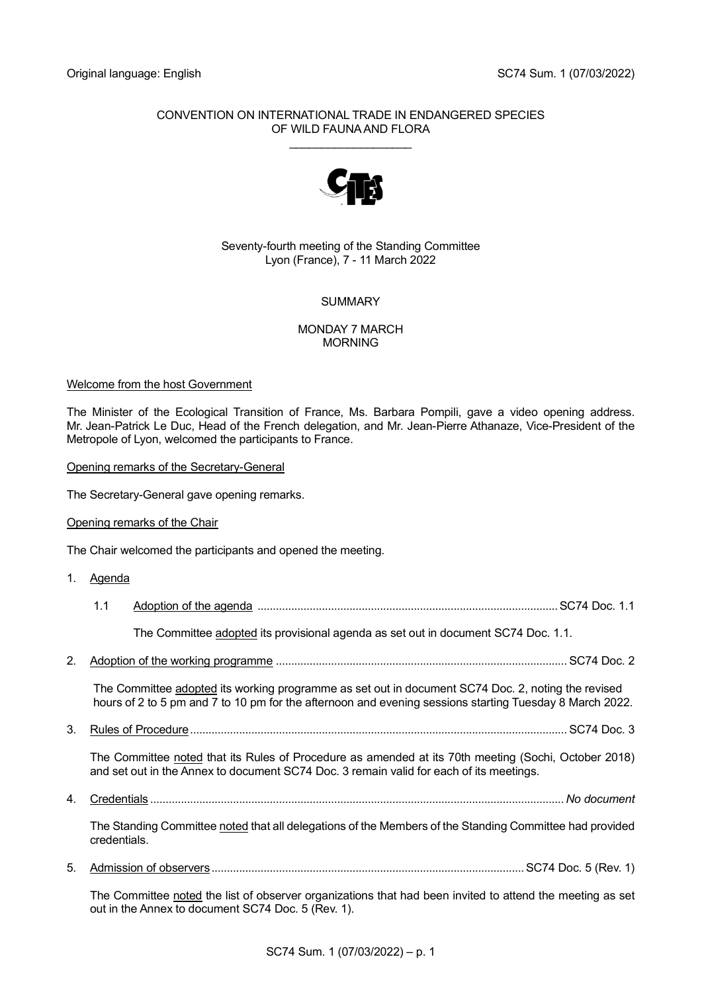## CONVENTION ON INTERNATIONAL TRADE IN ENDANGERED SPECIES OF WILD FAUNA AND FLORA \_\_\_\_\_\_\_\_\_\_\_\_\_\_\_\_\_\_\_



## Seventy-fourth meeting of the Standing Committee Lyon (France), 7 - 11 March 2022

# SUMMARY

### MONDAY 7 MARCH **MORNING**

## Welcome from the host Government

The Minister of the Ecological Transition of France, Ms. Barbara Pompili, gave a video opening address. Mr. Jean-Patrick Le Duc, Head of the French delegation, and Mr. Jean-Pierre Athanaze, Vice-President of the Metropole of Lyon, welcomed the participants to France.

Opening remarks of the Secretary-General

The Secretary-General gave opening remarks.

### Opening remarks of the Chair

The Chair welcomed the participants and opened the meeting.

### 1. Agenda

1.1 Adoption of the agenda ..................................................................................................SC74 Doc. 1.1

The Committee adopted its provisional agenda as set out in document SC74 Doc. 1.1.

2. Adoption of the working programme ............................................................................................... SC74 Doc. 2

The Committee adopted its working programme as set out in document SC74 Doc. 2, noting the revised hours of 2 to 5 pm and 7 to 10 pm for the afternoon and evening sessions starting Tuesday 8 March 2022.

3. Rules of Procedure........................................................................................................................... SC74 Doc. 3

The Committee noted that its Rules of Procedure as amended at its 70th meeting (Sochi, October 2018) and set out in the Annex to document SC74 Doc. 3 remain valid for each of its meetings.

4. Credentials ....................................................................................................................................... *No document*

The Standing Committee noted that all delegations of the Members of the Standing Committee had provided credentials.

5. Admission of observers......................................................................................................SC74 Doc. 5 (Rev. 1)

The Committee noted the list of observer organizations that had been invited to attend the meeting as set out in the Annex to document SC74 Doc. 5 (Rev. 1).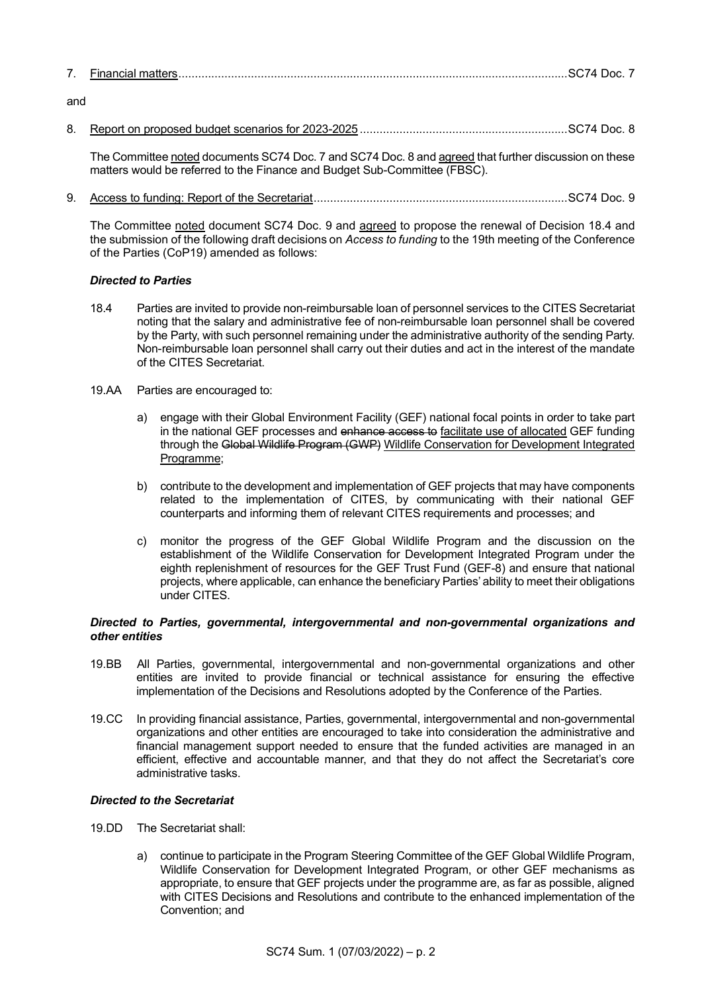| $\overline{\phantom{0}}$ | - 11 1<br>™ancial Mallers… |  |  |
|--------------------------|----------------------------|--|--|
|--------------------------|----------------------------|--|--|

and

8. Report on proposed budget scenarios for 2023-2025 ...............................................................SC74 Doc. 8

The Committee noted documents SC74 Doc. 7 and SC74 Doc. 8 and agreed that further discussion on these matters would be referred to the Finance and Budget Sub-Committee (FBSC).

9. Access to funding: Report of the Secretariat.............................................................................SC74 Doc. 9

The Committee noted document SC74 Doc. 9 and agreed to propose the renewal of Decision 18.4 and the submission of the following draft decisions on *Access to funding* to the 19th meeting of the Conference of the Parties (CoP19) amended as follows:

## *Directed to Parties*

- 18.4 Parties are invited to provide non-reimbursable loan of personnel services to the CITES Secretariat noting that the salary and administrative fee of non-reimbursable loan personnel shall be covered by the Party, with such personnel remaining under the administrative authority of the sending Party. Non-reimbursable loan personnel shall carry out their duties and act in the interest of the mandate of the CITES Secretariat.
- 19.AA Parties are encouraged to:
	- a) engage with their Global Environment Facility (GEF) national focal points in order to take part in the national GEF processes and enhance access to facilitate use of allocated GEF funding through the Global Wildlife Program (GWP) Wildlife Conservation for Development Integrated Programme;
	- b) contribute to the development and implementation of GEF projects that may have components related to the implementation of CITES, by communicating with their national GEF counterparts and informing them of relevant CITES requirements and processes; and
	- c) monitor the progress of the GEF Global Wildlife Program and the discussion on the establishment of the Wildlife Conservation for Development Integrated Program under the eighth replenishment of resources for the GEF Trust Fund (GEF-8) and ensure that national projects, where applicable, can enhance the beneficiary Parties' ability to meet their obligations under CITES.

### *Directed to Parties, governmental, intergovernmental and non-governmental organizations and other entities*

- 19.BB All Parties, governmental, intergovernmental and non-governmental organizations and other entities are invited to provide financial or technical assistance for ensuring the effective implementation of the Decisions and Resolutions adopted by the Conference of the Parties.
- 19.CC In providing financial assistance, Parties, governmental, intergovernmental and non-governmental organizations and other entities are encouraged to take into consideration the administrative and financial management support needed to ensure that the funded activities are managed in an efficient, effective and accountable manner, and that they do not affect the Secretariat's core administrative tasks.

### *Directed to the Secretariat*

- 19.DD The Secretariat shall:
	- a) continue to participate in the Program Steering Committee of the GEF Global Wildlife Program, Wildlife Conservation for Development Integrated Program, or other GEF mechanisms as appropriate, to ensure that GEF projects under the programme are, as far as possible, aligned with CITES Decisions and Resolutions and contribute to the enhanced implementation of the Convention; and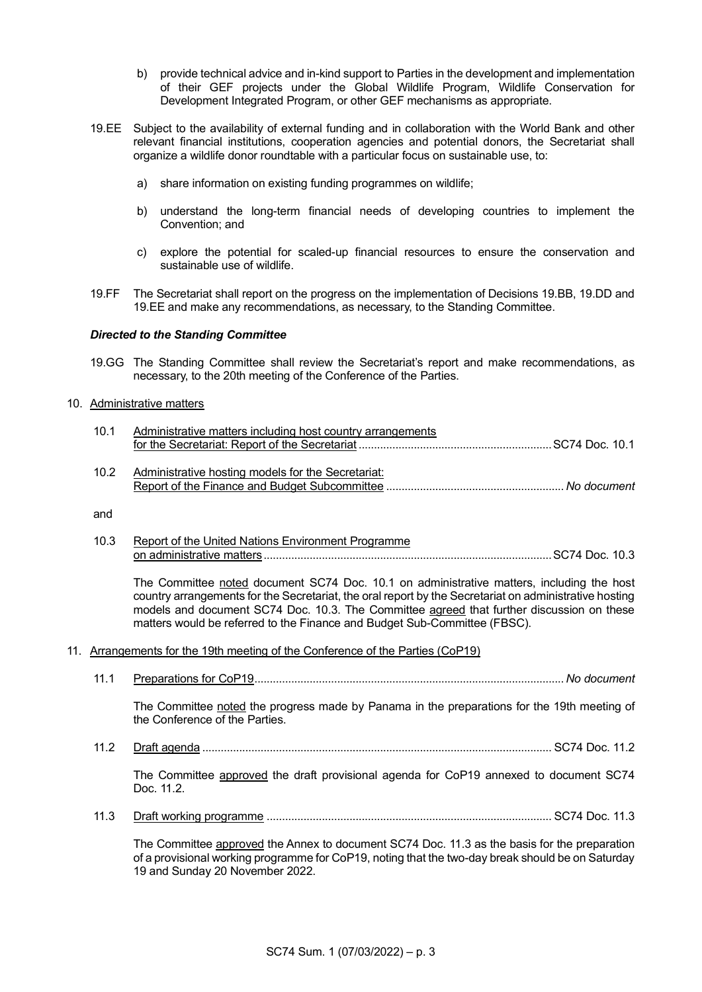- b) provide technical advice and in-kind support to Parties in the development and implementation of their GEF projects under the Global Wildlife Program, Wildlife Conservation for Development Integrated Program, or other GEF mechanisms as appropriate.
- 19.EE Subject to the availability of external funding and in collaboration with the World Bank and other relevant financial institutions, cooperation agencies and potential donors, the Secretariat shall organize a wildlife donor roundtable with a particular focus on sustainable use, to:
	- a) share information on existing funding programmes on wildlife;
	- b) understand the long-term financial needs of developing countries to implement the Convention; and
	- c) explore the potential for scaled-up financial resources to ensure the conservation and sustainable use of wildlife.
- 19.FF The Secretariat shall report on the progress on the implementation of Decisions 19.BB, 19.DD and 19.EE and make any recommendations, as necessary, to the Standing Committee.

### *Directed to the Standing Committee*

19.GG The Standing Committee shall review the Secretariat's report and make recommendations, as necessary, to the 20th meeting of the Conference of the Parties.

#### 10. Administrative matters

| 10.1 | Administrative matters including host country arrangements |  |
|------|------------------------------------------------------------|--|
|      |                                                            |  |
|      |                                                            |  |
| 10.2 | Administrative hosting models for the Secretariat:         |  |

Report of the Finance and Budget Subcommittee .......................................................... *No document*

and

10.3 Report of the United Nations Environment Programme on administrative matters..............................................................................................SC74 Doc. 10.3

The Committee noted document SC74 Doc. 10.1 on administrative matters, including the host country arrangements for the Secretariat, the oral report by the Secretariat on administrative hosting models and document SC74 Doc. 10.3. The Committee agreed that further discussion on these matters would be referred to the Finance and Budget Sub-Committee (FBSC).

### 11. Arrangements for the 19th meeting of the Conference of the Parties (CoP19)

11.1 Preparations for CoP19..................................................................................................... *No document*

The Committee noted the progress made by Panama in the preparations for the 19th meeting of the Conference of the Parties.

11.2 Draft agenda .................................................................................................................. SC74 Doc. 11.2

The Committee approved the draft provisional agenda for CoP19 annexed to document SC74 Doc. 11.2.

11.3 Draft working programme ............................................................................................. SC74 Doc. 11.3

The Committee approved the Annex to document SC74 Doc. 11.3 as the basis for the preparation of a provisional working programme for CoP19, noting that the two-day break should be on Saturday 19 and Sunday 20 November 2022.